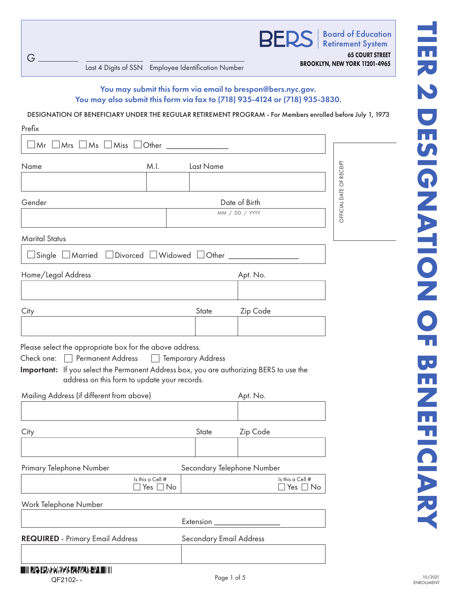**BER** 

**Board of Education Retirement System 65 COURT STREET**

**BROOKLYN, NEW YORK 11201-4965** Last 4 Digits of SSN Employee Identification Number

G

You may submit this form via email to brespon@bers.nyc.gov. You may also submit this form via fax to (718) 935-4124 or (718) 935-3830.

DESIGNATION OF BENEFICIARY UNDER THE REGULAR RETIREMENT PROGRAM - For Members enrolled before July 1, 1973

| Prefix                                                                                                                                                                                                                                 |               |                          |                            |                  |  |
|----------------------------------------------------------------------------------------------------------------------------------------------------------------------------------------------------------------------------------------|---------------|--------------------------|----------------------------|------------------|--|
| $\Box$ Mrs $\Box$ Ms $\Box$ Miss<br>Mr l                                                                                                                                                                                               | Other         |                          |                            |                  |  |
| Name<br>M.I.<br>Last Name                                                                                                                                                                                                              |               |                          |                            |                  |  |
|                                                                                                                                                                                                                                        |               |                          |                            |                  |  |
| Gender                                                                                                                                                                                                                                 |               |                          | Date of Birth              |                  |  |
|                                                                                                                                                                                                                                        |               |                          | MM / DD / YYYY             |                  |  |
| <b>Marital Status</b>                                                                                                                                                                                                                  |               |                          |                            |                  |  |
|                                                                                                                                                                                                                                        |               |                          |                            |                  |  |
| Home/Legal Address                                                                                                                                                                                                                     |               |                          | Apt. No.                   |                  |  |
|                                                                                                                                                                                                                                        |               |                          |                            |                  |  |
| City                                                                                                                                                                                                                                   |               | State                    | Zip Code                   |                  |  |
|                                                                                                                                                                                                                                        |               |                          |                            |                  |  |
| Please select the appropriate box for the above address.<br>Permanent Address<br>Check one:<br>Important: If you select the Permanent Address box, you are authorizing BERS to use the<br>address on this form to update your records. | $\perp$       | <b>Temporary Address</b> |                            |                  |  |
| Mailing Address (if different from above)                                                                                                                                                                                              |               |                          | Apt. No.                   |                  |  |
|                                                                                                                                                                                                                                        |               |                          |                            |                  |  |
| City                                                                                                                                                                                                                                   |               | State                    | Zip Code                   |                  |  |
|                                                                                                                                                                                                                                        |               |                          |                            |                  |  |
| Primary Telephone Number<br>Is this a Cell #                                                                                                                                                                                           |               |                          | Secondary Telephone Number | Is this a Cell # |  |
|                                                                                                                                                                                                                                        | Yes $\Box$ No |                          |                            | ] Yes □ No       |  |
| Work Telephone Number                                                                                                                                                                                                                  |               |                          |                            |                  |  |
|                                                                                                                                                                                                                                        |               | Extension                |                            |                  |  |
| <b>REQUIRED</b> - Primary Email Address                                                                                                                                                                                                |               | Secondary Email Address  |                            |                  |  |
|                                                                                                                                                                                                                                        |               |                          |                            |                  |  |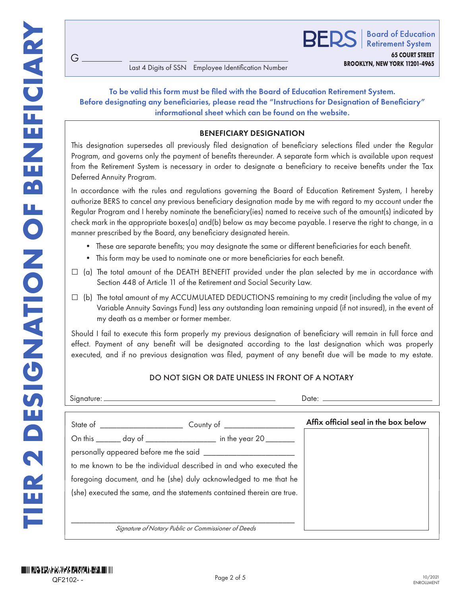## To be valid this form must be filed with the Board of Education Retirement System. Before designating any beneficiaries, please read the "Instructions for Designation of Beneficiary" informational sheet which can be found on the website.

### BENEFICIARY DESIGNATION

- These are separate benefits; you may designate the same or different beneficiaries for each benefit.
- This form may be used to nominate one or more beneficiaries for each benefit.

- $\Box$  (a) The total amount of the DEATH BENEFIT provided under the plan selected by me in accordance with Section 448 of Article 11 of the Retirement and Social Security Law.
- $\Box$  (b) The total amount of my ACCUMULATED DEDUCTIONS remaining to my credit (including the value of my Variable Annuity Savings Fund) less any outstanding loan remaining unpaid (if not insured), in the event of my death as a member or former member.

#### DO NOT SIGN OR DATE UNLESS IN FRONT OF A NOTARY

| G                                                                                                                                                                                                                                                                                                                                                                                                                                                                                                                                   |                                                     | Last 4 Digits of SSN Employee Identification Number                                                                                                                                       | BER | <b>Board of Education</b><br><b>Retirement System</b><br><b>65 COURT STREET</b><br>BROOKLYN, NEW YORK 11201-4965 |
|-------------------------------------------------------------------------------------------------------------------------------------------------------------------------------------------------------------------------------------------------------------------------------------------------------------------------------------------------------------------------------------------------------------------------------------------------------------------------------------------------------------------------------------|-----------------------------------------------------|-------------------------------------------------------------------------------------------------------------------------------------------------------------------------------------------|-----|------------------------------------------------------------------------------------------------------------------|
| Before designating any beneficiaries, please read the "Instructions for Designation of Beneficiary"                                                                                                                                                                                                                                                                                                                                                                                                                                 |                                                     | To be valid this form must be filed with the Board of Education Retirement System.<br>informational sheet which can be found on the website.                                              |     |                                                                                                                  |
|                                                                                                                                                                                                                                                                                                                                                                                                                                                                                                                                     |                                                     | <b>BENEFICIARY DESIGNATION</b>                                                                                                                                                            |     |                                                                                                                  |
| This designation supersedes all previously filed designation of beneficiary selections filed under the Regular<br>Program, and governs only the payment of benefits thereunder. A separate form which is available upon request<br>from the Retirement System is necessary in order to designate a beneficiary to receive benefits under the Tax<br>Deferred Annuity Program.                                                                                                                                                       |                                                     |                                                                                                                                                                                           |     |                                                                                                                  |
| In accordance with the rules and regulations governing the Board of Education Retirement System, I hereby<br>authorize BERS to cancel any previous beneficiary designation made by me with regard to my account under the<br>Regular Program and I hereby nominate the beneficiary(ies) named to receive such of the amount(s) indicated by<br>check mark in the appropriate boxes(a) and(b) below as may become payable. I reserve the right to change, in a<br>manner prescribed by the Board, any beneficiary designated herein. |                                                     |                                                                                                                                                                                           |     |                                                                                                                  |
|                                                                                                                                                                                                                                                                                                                                                                                                                                                                                                                                     |                                                     | • These are separate benefits; you may designate the same or different beneficiaries for each benefit.<br>• This form may be used to nominate one or more beneficiaries for each benefit. |     |                                                                                                                  |
| (a) The total amount of the DEATH BENEFIT provided under the plan selected by me in accordance with<br>ш                                                                                                                                                                                                                                                                                                                                                                                                                            |                                                     | Section 448 of Article 11 of the Retirement and Social Security Law.                                                                                                                      |     |                                                                                                                  |
| (b) The total amount of my ACCUMULATED DEDUCTIONS remaining to my credit (including the value of my<br>⊔<br>my death as a member or former member.                                                                                                                                                                                                                                                                                                                                                                                  |                                                     | Variable Annuity Savings Fund) less any outstanding loan remaining unpaid (if not insured), in the event of                                                                               |     |                                                                                                                  |
| Should I fail to execute this form properly my previous designation of beneficiary will remain in full force and<br>effect. Payment of any benefit will be designated according to the last designation which was properly<br>executed, and if no previous designation was filed, payment of any benefit due will be made to my estate.                                                                                                                                                                                             |                                                     |                                                                                                                                                                                           |     |                                                                                                                  |
|                                                                                                                                                                                                                                                                                                                                                                                                                                                                                                                                     |                                                     | DO NOT SIGN OR DATE UNLESS IN FRONT OF A NOTARY                                                                                                                                           |     |                                                                                                                  |
|                                                                                                                                                                                                                                                                                                                                                                                                                                                                                                                                     |                                                     |                                                                                                                                                                                           |     |                                                                                                                  |
|                                                                                                                                                                                                                                                                                                                                                                                                                                                                                                                                     |                                                     |                                                                                                                                                                                           |     | Affix official seal in the box below                                                                             |
| On this ________ day of ______________________ in the year 20 ________                                                                                                                                                                                                                                                                                                                                                                                                                                                              |                                                     |                                                                                                                                                                                           |     |                                                                                                                  |
|                                                                                                                                                                                                                                                                                                                                                                                                                                                                                                                                     |                                                     |                                                                                                                                                                                           |     |                                                                                                                  |
| to me known to be the individual described in and who executed the                                                                                                                                                                                                                                                                                                                                                                                                                                                                  |                                                     |                                                                                                                                                                                           |     |                                                                                                                  |
| foregoing document, and he (she) duly acknowledged to me that he                                                                                                                                                                                                                                                                                                                                                                                                                                                                    |                                                     |                                                                                                                                                                                           |     |                                                                                                                  |
| (she) executed the same, and the statements contained therein are true.                                                                                                                                                                                                                                                                                                                                                                                                                                                             |                                                     |                                                                                                                                                                                           |     |                                                                                                                  |
|                                                                                                                                                                                                                                                                                                                                                                                                                                                                                                                                     | Signature of Notary Public or Commissioner of Deeds |                                                                                                                                                                                           |     |                                                                                                                  |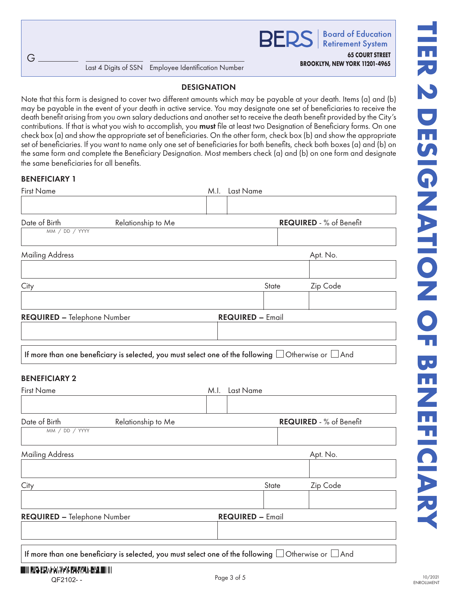**Board of Education RFDS Retirement System** 

**65 COURT STREET**

## DESIGNATION

Note that this form is designed to cover two different amounts which may be payable at your death. Items (a) and (b) may be payable in the event of your death in active service. You may designate one set of beneficiaries to receive the death benefit arising from you own salary deductions and another set to receive the death benefit provided by the City's contributions. If that is what you wish to accomplish, you **must** file at least two Designation of Beneficiary forms. On one check box (a) and show the appropriate set of beneficiaries. On the other form, check box (b) and show the appropriate set of beneficiaries. If you want to name only one set of beneficiaries for both benefits, check both boxes (a) and (b) on the same form and complete the Beneficiary Designation. Most members check (a) and (b) on one form and designate the same beneficiaries for all benefits.

### BENEFICIARY 1

| <b>First Name</b>                                                                                             |  | M.I. Last Name          |                         |                         |  |
|---------------------------------------------------------------------------------------------------------------|--|-------------------------|-------------------------|-------------------------|--|
|                                                                                                               |  |                         |                         |                         |  |
| Date of Birth<br>Relationship to Me<br>MM / DD / YYYY                                                         |  |                         | REQUIRED - % of Benefit |                         |  |
|                                                                                                               |  |                         |                         |                         |  |
| <b>Mailing Address</b>                                                                                        |  |                         |                         | Apt. No.                |  |
|                                                                                                               |  |                         |                         |                         |  |
| City                                                                                                          |  |                         | State                   | Zip Code                |  |
| REQUIRED - Telephone Number                                                                                   |  | <b>REQUIRED - Email</b> |                         |                         |  |
|                                                                                                               |  |                         |                         |                         |  |
| If more than one beneficiary is selected, you must select one of the following $\Box$ Otherwise or $\Box$ And |  |                         |                         |                         |  |
| <b>BENEFICIARY 2</b>                                                                                          |  |                         |                         |                         |  |
| <b>First Name</b>                                                                                             |  | M.I. Last Name          |                         |                         |  |
|                                                                                                               |  |                         |                         |                         |  |
| Date of Birth<br>Relationship to Me<br>MM / DD / YYYY                                                         |  |                         |                         | REQUIRED - % of Benefit |  |
| <b>Mailing Address</b>                                                                                        |  |                         |                         | Apt. No.                |  |
|                                                                                                               |  |                         |                         |                         |  |
| City<br><b>State</b>                                                                                          |  |                         |                         | Zip Code                |  |
|                                                                                                               |  |                         |                         |                         |  |
| REQUIRED - Telephone Number                                                                                   |  | <b>REQUIRED - Email</b> |                         |                         |  |
|                                                                                                               |  |                         |                         |                         |  |
| If more than one beneficiary is selected, you must select one of the following $\Box$ Otherwise or $\Box$ And |  |                         |                         |                         |  |

DOOD REEL REAL AND STRIKE IN A RELATION OF QF2102- - QF2102- -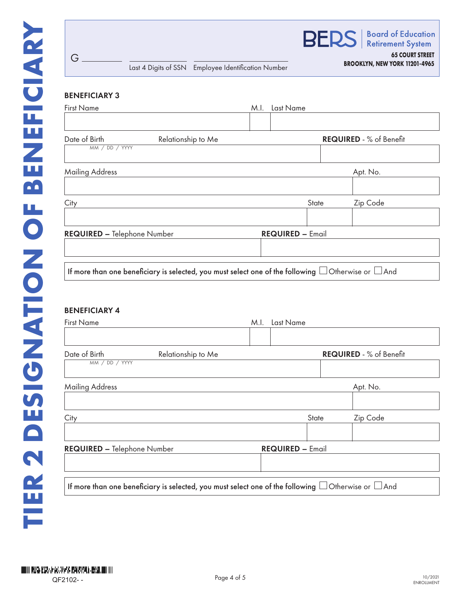

## **BROOKLYN, NEW YORK 11201-4965** Last 4 Digits of SSN Employee Identification Number

**65 COURT STREET**

# BENEFICIARY 3

G

| <b>First Name</b>               |                                                                                                               | M.I. Last Name          |       |                         |
|---------------------------------|---------------------------------------------------------------------------------------------------------------|-------------------------|-------|-------------------------|
| Date of Birth<br>MM / DD / YYYY | Relationship to Me                                                                                            |                         |       | REQUIRED - % of Benefit |
| <b>Mailing Address</b>          |                                                                                                               |                         |       | Apt. No.                |
| City                            |                                                                                                               |                         | State | Zip Code                |
| REQUIRED - Telephone Number     |                                                                                                               | <b>REQUIRED - Email</b> |       |                         |
| <b>BENEFICIARY 4</b>            | If more than one beneficiary is selected, you must select one of the following $\Box$ Otherwise or $\Box$ And |                         |       |                         |
| <b>First Name</b>               |                                                                                                               | M.I. Last Name          |       |                         |
| Date of Birth<br>MM / DD / YYYY | Relationship to Me                                                                                            |                         |       | REQUIRED - % of Benefit |
| <b>Mailing Address</b>          |                                                                                                               |                         |       | Apt. No.                |
| City                            |                                                                                                               |                         | State | Zip Code                |
| REQUIRED - Telephone Number     |                                                                                                               | <b>REQUIRED - Email</b> |       |                         |

If more than one beneficiary is selected, you must select one of the following  $\Box$  Otherwise or  $\Box$  And